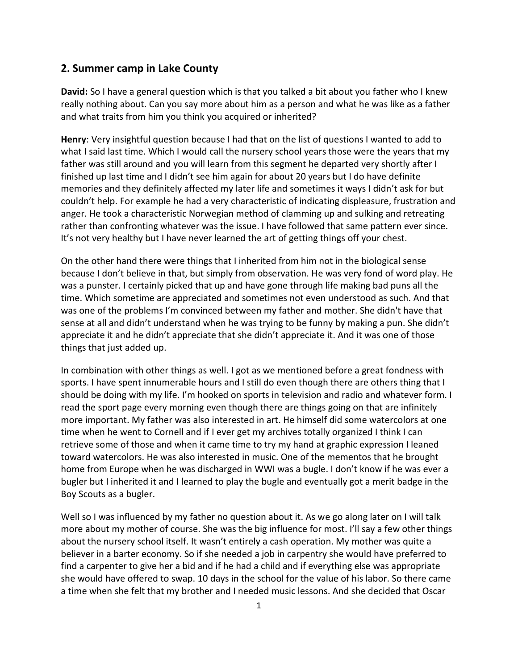## **2. Summer camp in Lake County**

**David:** So I have a general question which is that you talked a bit about you father who I knew really nothing about. Can you say more about him as a person and what he was like as a father and what traits from him you think you acquired or inherited?

**Henry**: Very insightful question because I had that on the list of questions I wanted to add to what I said last time. Which I would call the nursery school years those were the years that my father was still around and you will learn from this segment he departed very shortly after I finished up last time and I didn't see him again for about 20 years but I do have definite memories and they definitely affected my later life and sometimes it ways I didn't ask for but couldn't help. For example he had a very characteristic of indicating displeasure, frustration and anger. He took a characteristic Norwegian method of clamming up and sulking and retreating rather than confronting whatever was the issue. I have followed that same pattern ever since. It's not very healthy but I have never learned the art of getting things off your chest.

On the other hand there were things that I inherited from him not in the biological sense because I don't believe in that, but simply from observation. He was very fond of word play. He was a punster. I certainly picked that up and have gone through life making bad puns all the time. Which sometime are appreciated and sometimes not even understood as such. And that was one of the problems I'm convinced between my father and mother. She didn't have that sense at all and didn't understand when he was trying to be funny by making a pun. She didn't appreciate it and he didn't appreciate that she didn't appreciate it. And it was one of those things that just added up.

In combination with other things as well. I got as we mentioned before a great fondness with sports. I have spent innumerable hours and I still do even though there are others thing that I should be doing with my life. I'm hooked on sports in television and radio and whatever form. I read the sport page every morning even though there are things going on that are infinitely more important. My father was also interested in art. He himself did some watercolors at one time when he went to Cornell and if I ever get my archives totally organized I think I can retrieve some of those and when it came time to try my hand at graphic expression I leaned toward watercolors. He was also interested in music. One of the mementos that he brought home from Europe when he was discharged in WWI was a bugle. I don't know if he was ever a bugler but I inherited it and I learned to play the bugle and eventually got a merit badge in the Boy Scouts as a bugler.

Well so I was influenced by my father no question about it. As we go along later on I will talk more about my mother of course. She was the big influence for most. I'll say a few other things about the nursery school itself. It wasn't entirely a cash operation. My mother was quite a believer in a barter economy. So if she needed a job in carpentry she would have preferred to find a carpenter to give her a bid and if he had a child and if everything else was appropriate she would have offered to swap. 10 days in the school for the value of his labor. So there came a time when she felt that my brother and I needed music lessons. And she decided that Oscar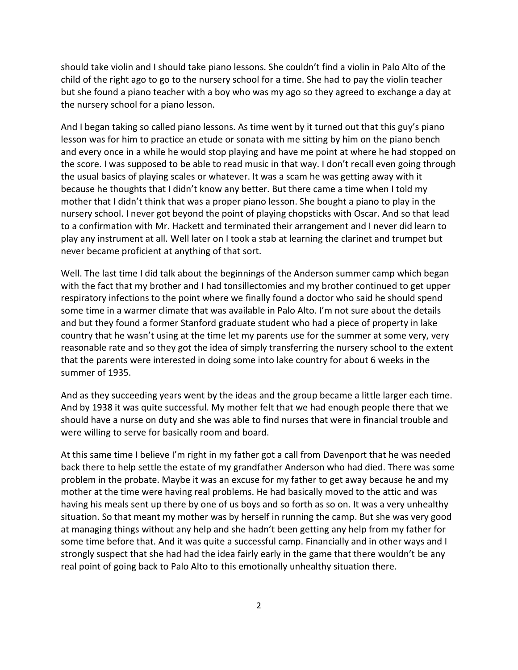should take violin and I should take piano lessons. She couldn't find a violin in Palo Alto of the child of the right ago to go to the nursery school for a time. She had to pay the violin teacher but she found a piano teacher with a boy who was my ago so they agreed to exchange a day at the nursery school for a piano lesson.

And I began taking so called piano lessons. As time went by it turned out that this guy's piano lesson was for him to practice an etude or sonata with me sitting by him on the piano bench and every once in a while he would stop playing and have me point at where he had stopped on the score. I was supposed to be able to read music in that way. I don't recall even going through the usual basics of playing scales or whatever. It was a scam he was getting away with it because he thoughts that I didn't know any better. But there came a time when I told my mother that I didn't think that was a proper piano lesson. She bought a piano to play in the nursery school. I never got beyond the point of playing chopsticks with Oscar. And so that lead to a confirmation with Mr. Hackett and terminated their arrangement and I never did learn to play any instrument at all. Well later on I took a stab at learning the clarinet and trumpet but never became proficient at anything of that sort.

Well. The last time I did talk about the beginnings of the Anderson summer camp which began with the fact that my brother and I had tonsillectomies and my brother continued to get upper respiratory infections to the point where we finally found a doctor who said he should spend some time in a warmer climate that was available in Palo Alto. I'm not sure about the details and but they found a former Stanford graduate student who had a piece of property in lake country that he wasn't using at the time let my parents use for the summer at some very, very reasonable rate and so they got the idea of simply transferring the nursery school to the extent that the parents were interested in doing some into lake country for about 6 weeks in the summer of 1935.

And as they succeeding years went by the ideas and the group became a little larger each time. And by 1938 it was quite successful. My mother felt that we had enough people there that we should have a nurse on duty and she was able to find nurses that were in financial trouble and were willing to serve for basically room and board.

At this same time I believe I'm right in my father got a call from Davenport that he was needed back there to help settle the estate of my grandfather Anderson who had died. There was some problem in the probate. Maybe it was an excuse for my father to get away because he and my mother at the time were having real problems. He had basically moved to the attic and was having his meals sent up there by one of us boys and so forth as so on. It was a very unhealthy situation. So that meant my mother was by herself in running the camp. But she was very good at managing things without any help and she hadn't been getting any help from my father for some time before that. And it was quite a successful camp. Financially and in other ways and I strongly suspect that she had had the idea fairly early in the game that there wouldn't be any real point of going back to Palo Alto to this emotionally unhealthy situation there.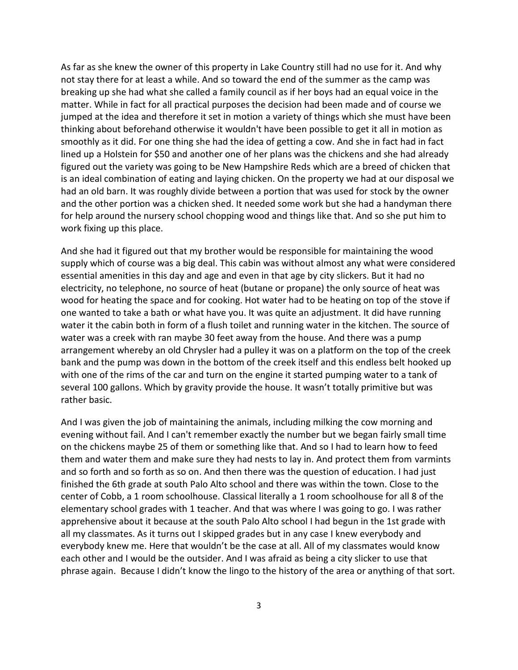As far as she knew the owner of this property in Lake Country still had no use for it. And why not stay there for at least a while. And so toward the end of the summer as the camp was breaking up she had what she called a family council as if her boys had an equal voice in the matter. While in fact for all practical purposes the decision had been made and of course we jumped at the idea and therefore it set in motion a variety of things which she must have been thinking about beforehand otherwise it wouldn't have been possible to get it all in motion as smoothly as it did. For one thing she had the idea of getting a cow. And she in fact had in fact lined up a Holstein for \$50 and another one of her plans was the chickens and she had already figured out the variety was going to be New Hampshire Reds which are a breed of chicken that is an ideal combination of eating and laying chicken. On the property we had at our disposal we had an old barn. It was roughly divide between a portion that was used for stock by the owner and the other portion was a chicken shed. It needed some work but she had a handyman there for help around the nursery school chopping wood and things like that. And so she put him to work fixing up this place.

And she had it figured out that my brother would be responsible for maintaining the wood supply which of course was a big deal. This cabin was without almost any what were considered essential amenities in this day and age and even in that age by city slickers. But it had no electricity, no telephone, no source of heat (butane or propane) the only source of heat was wood for heating the space and for cooking. Hot water had to be heating on top of the stove if one wanted to take a bath or what have you. It was quite an adjustment. It did have running water it the cabin both in form of a flush toilet and running water in the kitchen. The source of water was a creek with ran maybe 30 feet away from the house. And there was a pump arrangement whereby an old Chrysler had a pulley it was on a platform on the top of the creek bank and the pump was down in the bottom of the creek itself and this endless belt hooked up with one of the rims of the car and turn on the engine it started pumping water to a tank of several 100 gallons. Which by gravity provide the house. It wasn't totally primitive but was rather basic.

And I was given the job of maintaining the animals, including milking the cow morning and evening without fail. And I can't remember exactly the number but we began fairly small time on the chickens maybe 25 of them or something like that. And so I had to learn how to feed them and water them and make sure they had nests to lay in. And protect them from varmints and so forth and so forth as so on. And then there was the question of education. I had just finished the 6th grade at south Palo Alto school and there was within the town. Close to the center of Cobb, a 1 room schoolhouse. Classical literally a 1 room schoolhouse for all 8 of the elementary school grades with 1 teacher. And that was where I was going to go. I was rather apprehensive about it because at the south Palo Alto school I had begun in the 1st grade with all my classmates. As it turns out I skipped grades but in any case I knew everybody and everybody knew me. Here that wouldn't be the case at all. All of my classmates would know each other and I would be the outsider. And I was afraid as being a city slicker to use that phrase again. Because I didn't know the lingo to the history of the area or anything of that sort.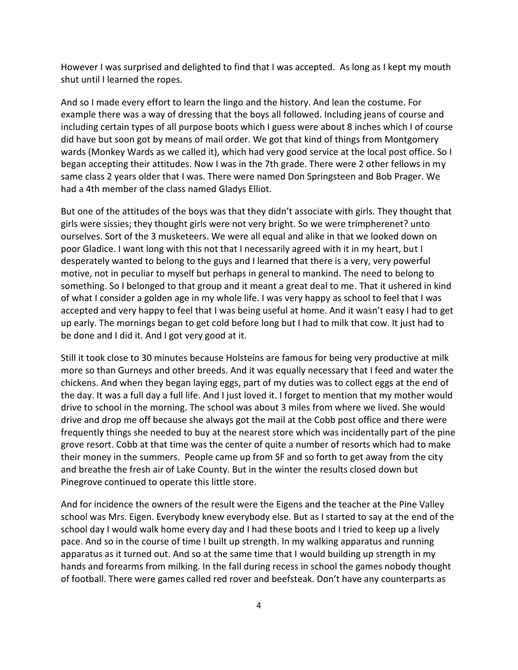However I was surprised and delighted to find that I was accepted. As long as I kept my mouth shut until I learned the ropes.

And so I made every effort to learn the lingo and the history. And lean the costume. For example there was a way of dressing that the boys all followed. Including jeans of course and including certain types of all purpose boots which I guess were about 8 inches which I of course did have but soon got by means of mail order. We got that kind of things from Montgomery wards (Monkey Wards as we called it), which had very good service at the local post office. So I began accepting their attitudes. Now I was in the 7th grade. There were 2 other fellows in my same class 2 years older that I was. There were named Don Springsteen and Bob Prager. We had a 4th member of the class named Gladys Elliot.

But one of the attitudes of the boys was that they didn't associate with girls. They thought that girls were sissies; they thought girls were not very bright. So we were trimpherenet? unto ourselves. Sort of the 3 musketeers. We were all equal and alike in that we looked down on poor Gladice. I want long with this not that I necessarily agreed with it in my heart, but I desperately wanted to belong to the guys and I learned that there is a very, very powerful motive, not in peculiar to myself but perhaps in general to mankind. The need to belong to something. So I belonged to that group and it meant a great deal to me. That it ushered in kind of what I consider a golden age in my whole life. I was very happy as school to feel that I was accepted and very happy to feel that I was being useful at home. And it wasn't easy I had to get up early. The mornings began to get cold before long but I had to milk that cow. It just had to be done and I did it. And I got very good at it.

Still it took close to 30 minutes because Holsteins are famous for being very productive at milk more so than Gurneys and other breeds. And it was equally necessary that I feed and water the chickens. And when they began laying eggs, part of my duties was to collect eggs at the end of the day. It was a full day a full life. And I just loved it. I forget to mention that my mother would drive to school in the morning. The school was about 3 miles from where we lived. She would drive and drop me off because she always got the mail at the Cobb post office and there were frequently things she needed to buy at the nearest store which was incidentally part of the pine grove resort. Cobb at that time was the center of quite a number of resorts which had to make their money in the summers. People came up from SF and so forth to get away from the city and breathe the fresh air of Lake County. But in the winter the results closed down but Pinegrove continued to operate this little store.

And for incidence the owners of the result were the Eigens and the teacher at the Pine Valley school was Mrs. Eigen. Everybody knew everybody else. But as I started to say at the end of the school day I would walk home every day and I had these boots and I tried to keep up a lively pace. And so in the course of time I built up strength. In my walking apparatus and running apparatus as it turned out. And so at the same time that I would building up strength in my hands and forearms from milking. In the fall during recess in school the games nobody thought of football. There were games called red rover and beefsteak. Don't have any counterparts as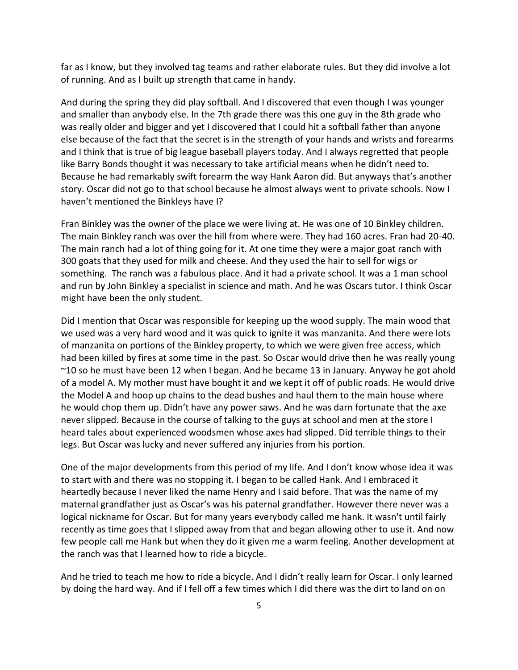far as I know, but they involved tag teams and rather elaborate rules. But they did involve a lot of running. And as I built up strength that came in handy.

And during the spring they did play softball. And I discovered that even though I was younger and smaller than anybody else. In the 7th grade there was this one guy in the 8th grade who was really older and bigger and yet I discovered that I could hit a softball father than anyone else because of the fact that the secret is in the strength of your hands and wrists and forearms and I think that is true of big league baseball players today. And I always regretted that people like Barry Bonds thought it was necessary to take artificial means when he didn't need to. Because he had remarkably swift forearm the way Hank Aaron did. But anyways that's another story. Oscar did not go to that school because he almost always went to private schools. Now I haven't mentioned the Binkleys have I?

Fran Binkley was the owner of the place we were living at. He was one of 10 Binkley children. The main Binkley ranch was over the hill from where were. They had 160 acres. Fran had 20-40. The main ranch had a lot of thing going for it. At one time they were a major goat ranch with 300 goats that they used for milk and cheese. And they used the hair to sell for wigs or something. The ranch was a fabulous place. And it had a private school. It was a 1 man school and run by John Binkley a specialist in science and math. And he was Oscars tutor. I think Oscar might have been the only student.

Did I mention that Oscar was responsible for keeping up the wood supply. The main wood that we used was a very hard wood and it was quick to ignite it was manzanita. And there were lots of manzanita on portions of the Binkley property, to which we were given free access, which had been killed by fires at some time in the past. So Oscar would drive then he was really young ~10 so he must have been 12 when I began. And he became 13 in January. Anyway he got ahold of a model A. My mother must have bought it and we kept it off of public roads. He would drive the Model A and hoop up chains to the dead bushes and haul them to the main house where he would chop them up. Didn't have any power saws. And he was darn fortunate that the axe never slipped. Because in the course of talking to the guys at school and men at the store I heard tales about experienced woodsmen whose axes had slipped. Did terrible things to their legs. But Oscar was lucky and never suffered any injuries from his portion.

One of the major developments from this period of my life. And I don't know whose idea it was to start with and there was no stopping it. I began to be called Hank. And I embraced it heartedly because I never liked the name Henry and I said before. That was the name of my maternal grandfather just as Oscar's was his paternal grandfather. However there never was a logical nickname for Oscar. But for many years everybody called me hank. It wasn't until fairly recently as time goes that I slipped away from that and began allowing other to use it. And now few people call me Hank but when they do it given me a warm feeling. Another development at the ranch was that I learned how to ride a bicycle.

And he tried to teach me how to ride a bicycle. And I didn't really learn for Oscar. I only learned by doing the hard way. And if I fell off a few times which I did there was the dirt to land on on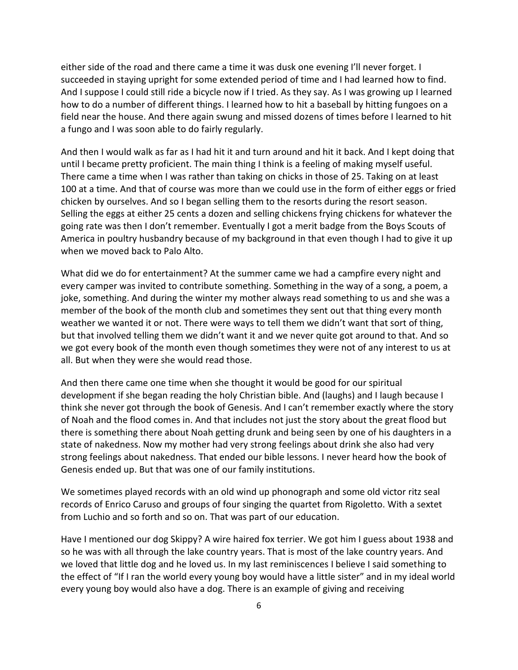either side of the road and there came a time it was dusk one evening I'll never forget. I succeeded in staying upright for some extended period of time and I had learned how to find. And I suppose I could still ride a bicycle now if I tried. As they say. As I was growing up I learned how to do a number of different things. I learned how to hit a baseball by hitting fungoes on a field near the house. And there again swung and missed dozens of times before I learned to hit a fungo and I was soon able to do fairly regularly.

And then I would walk as far as I had hit it and turn around and hit it back. And I kept doing that until I became pretty proficient. The main thing I think is a feeling of making myself useful. There came a time when I was rather than taking on chicks in those of 25. Taking on at least 100 at a time. And that of course was more than we could use in the form of either eggs or fried chicken by ourselves. And so I began selling them to the resorts during the resort season. Selling the eggs at either 25 cents a dozen and selling chickens frying chickens for whatever the going rate was then I don't remember. Eventually I got a merit badge from the Boys Scouts of America in poultry husbandry because of my background in that even though I had to give it up when we moved back to Palo Alto.

What did we do for entertainment? At the summer came we had a campfire every night and every camper was invited to contribute something. Something in the way of a song, a poem, a joke, something. And during the winter my mother always read something to us and she was a member of the book of the month club and sometimes they sent out that thing every month weather we wanted it or not. There were ways to tell them we didn't want that sort of thing, but that involved telling them we didn't want it and we never quite got around to that. And so we got every book of the month even though sometimes they were not of any interest to us at all. But when they were she would read those.

And then there came one time when she thought it would be good for our spiritual development if she began reading the holy Christian bible. And (laughs) and I laugh because I think she never got through the book of Genesis. And I can't remember exactly where the story of Noah and the flood comes in. And that includes not just the story about the great flood but there is something there about Noah getting drunk and being seen by one of his daughters in a state of nakedness. Now my mother had very strong feelings about drink she also had very strong feelings about nakedness. That ended our bible lessons. I never heard how the book of Genesis ended up. But that was one of our family institutions.

We sometimes played records with an old wind up phonograph and some old victor ritz seal records of Enrico Caruso and groups of four singing the quartet from Rigoletto. With a sextet from Luchio and so forth and so on. That was part of our education.

Have I mentioned our dog Skippy? A wire haired fox terrier. We got him I guess about 1938 and so he was with all through the lake country years. That is most of the lake country years. And we loved that little dog and he loved us. In my last reminiscences I believe I said something to the effect of "If I ran the world every young boy would have a little sister" and in my ideal world every young boy would also have a dog. There is an example of giving and receiving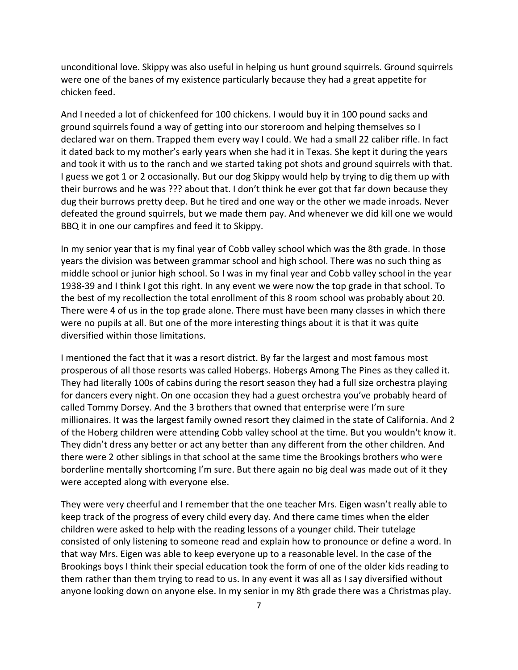unconditional love. Skippy was also useful in helping us hunt ground squirrels. Ground squirrels were one of the banes of my existence particularly because they had a great appetite for chicken feed.

And I needed a lot of chickenfeed for 100 chickens. I would buy it in 100 pound sacks and ground squirrels found a way of getting into our storeroom and helping themselves so I declared war on them. Trapped them every way I could. We had a small 22 caliber rifle. In fact it dated back to my mother's early years when she had it in Texas. She kept it during the years and took it with us to the ranch and we started taking pot shots and ground squirrels with that. I guess we got 1 or 2 occasionally. But our dog Skippy would help by trying to dig them up with their burrows and he was ??? about that. I don't think he ever got that far down because they dug their burrows pretty deep. But he tired and one way or the other we made inroads. Never defeated the ground squirrels, but we made them pay. And whenever we did kill one we would BBQ it in one our campfires and feed it to Skippy.

In my senior year that is my final year of Cobb valley school which was the 8th grade. In those years the division was between grammar school and high school. There was no such thing as middle school or junior high school. So I was in my final year and Cobb valley school in the year 1938-39 and I think I got this right. In any event we were now the top grade in that school. To the best of my recollection the total enrollment of this 8 room school was probably about 20. There were 4 of us in the top grade alone. There must have been many classes in which there were no pupils at all. But one of the more interesting things about it is that it was quite diversified within those limitations.

I mentioned the fact that it was a resort district. By far the largest and most famous most prosperous of all those resorts was called Hobergs. Hobergs Among The Pines as they called it. They had literally 100s of cabins during the resort season they had a full size orchestra playing for dancers every night. On one occasion they had a guest orchestra you've probably heard of called Tommy Dorsey. And the 3 brothers that owned that enterprise were I'm sure millionaires. It was the largest family owned resort they claimed in the state of California. And 2 of the Hoberg children were attending Cobb valley school at the time. But you wouldn't know it. They didn't dress any better or act any better than any different from the other children. And there were 2 other siblings in that school at the same time the Brookings brothers who were borderline mentally shortcoming I'm sure. But there again no big deal was made out of it they were accepted along with everyone else.

They were very cheerful and I remember that the one teacher Mrs. Eigen wasn't really able to keep track of the progress of every child every day. And there came times when the elder children were asked to help with the reading lessons of a younger child. Their tutelage consisted of only listening to someone read and explain how to pronounce or define a word. In that way Mrs. Eigen was able to keep everyone up to a reasonable level. In the case of the Brookings boys I think their special education took the form of one of the older kids reading to them rather than them trying to read to us. In any event it was all as I say diversified without anyone looking down on anyone else. In my senior in my 8th grade there was a Christmas play.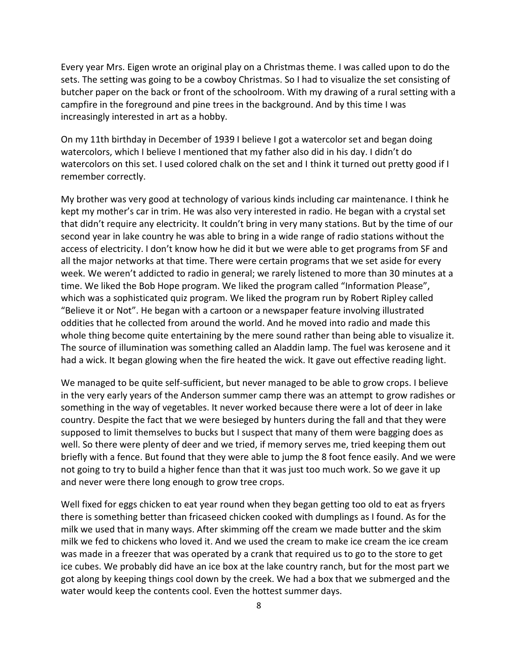Every year Mrs. Eigen wrote an original play on a Christmas theme. I was called upon to do the sets. The setting was going to be a cowboy Christmas. So I had to visualize the set consisting of butcher paper on the back or front of the schoolroom. With my drawing of a rural setting with a campfire in the foreground and pine trees in the background. And by this time I was increasingly interested in art as a hobby.

On my 11th birthday in December of 1939 I believe I got a watercolor set and began doing watercolors, which I believe I mentioned that my father also did in his day. I didn't do watercolors on this set. I used colored chalk on the set and I think it turned out pretty good if I remember correctly.

My brother was very good at technology of various kinds including car maintenance. I think he kept my mother's car in trim. He was also very interested in radio. He began with a crystal set that didn't require any electricity. It couldn't bring in very many stations. But by the time of our second year in lake country he was able to bring in a wide range of radio stations without the access of electricity. I don't know how he did it but we were able to get programs from SF and all the major networks at that time. There were certain programs that we set aside for every week. We weren't addicted to radio in general; we rarely listened to more than 30 minutes at a time. We liked the Bob Hope program. We liked the program called "Information Please", which was a sophisticated quiz program. We liked the program run by Robert Ripley called "Believe it or Not". He began with a cartoon or a newspaper feature involving illustrated oddities that he collected from around the world. And he moved into radio and made this whole thing become quite entertaining by the mere sound rather than being able to visualize it. The source of illumination was something called an Aladdin lamp. The fuel was kerosene and it had a wick. It began glowing when the fire heated the wick. It gave out effective reading light.

We managed to be quite self-sufficient, but never managed to be able to grow crops. I believe in the very early years of the Anderson summer camp there was an attempt to grow radishes or something in the way of vegetables. It never worked because there were a lot of deer in lake country. Despite the fact that we were besieged by hunters during the fall and that they were supposed to limit themselves to bucks but I suspect that many of them were bagging does as well. So there were plenty of deer and we tried, if memory serves me, tried keeping them out briefly with a fence. But found that they were able to jump the 8 foot fence easily. And we were not going to try to build a higher fence than that it was just too much work. So we gave it up and never were there long enough to grow tree crops.

Well fixed for eggs chicken to eat year round when they began getting too old to eat as fryers there is something better than fricaseed chicken cooked with dumplings as I found. As for the milk we used that in many ways. After skimming off the cream we made butter and the skim milk we fed to chickens who loved it. And we used the cream to make ice cream the ice cream was made in a freezer that was operated by a crank that required us to go to the store to get ice cubes. We probably did have an ice box at the lake country ranch, but for the most part we got along by keeping things cool down by the creek. We had a box that we submerged and the water would keep the contents cool. Even the hottest summer days.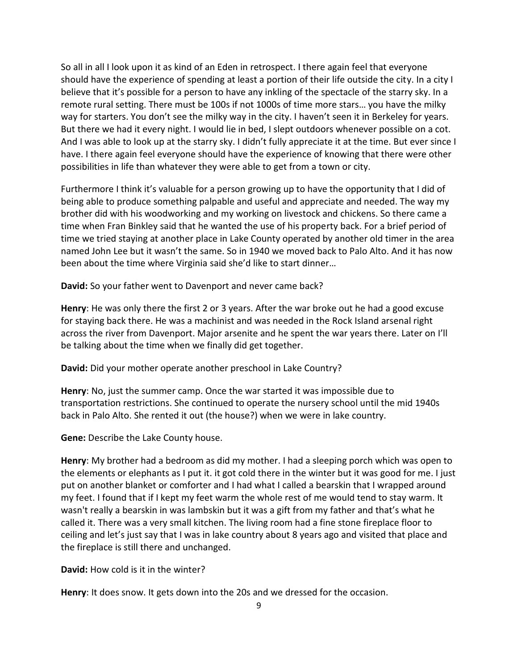So all in all I look upon it as kind of an Eden in retrospect. I there again feel that everyone should have the experience of spending at least a portion of their life outside the city. In a city I believe that it's possible for a person to have any inkling of the spectacle of the starry sky. In a remote rural setting. There must be 100s if not 1000s of time more stars… you have the milky way for starters. You don't see the milky way in the city. I haven't seen it in Berkeley for years. But there we had it every night. I would lie in bed, I slept outdoors whenever possible on a cot. And I was able to look up at the starry sky. I didn't fully appreciate it at the time. But ever since I have. I there again feel everyone should have the experience of knowing that there were other possibilities in life than whatever they were able to get from a town or city.

Furthermore I think it's valuable for a person growing up to have the opportunity that I did of being able to produce something palpable and useful and appreciate and needed. The way my brother did with his woodworking and my working on livestock and chickens. So there came a time when Fran Binkley said that he wanted the use of his property back. For a brief period of time we tried staying at another place in Lake County operated by another old timer in the area named John Lee but it wasn't the same. So in 1940 we moved back to Palo Alto. And it has now been about the time where Virginia said she'd like to start dinner…

**David:** So your father went to Davenport and never came back?

**Henry**: He was only there the first 2 or 3 years. After the war broke out he had a good excuse for staying back there. He was a machinist and was needed in the Rock Island arsenal right across the river from Davenport. Major arsenite and he spent the war years there. Later on I'll be talking about the time when we finally did get together.

**David:** Did your mother operate another preschool in Lake Country?

**Henry**: No, just the summer camp. Once the war started it was impossible due to transportation restrictions. She continued to operate the nursery school until the mid 1940s back in Palo Alto. She rented it out (the house?) when we were in lake country.

**Gene:** Describe the Lake County house.

**Henry**: My brother had a bedroom as did my mother. I had a sleeping porch which was open to the elements or elephants as I put it. it got cold there in the winter but it was good for me. I just put on another blanket or comforter and I had what I called a bearskin that I wrapped around my feet. I found that if I kept my feet warm the whole rest of me would tend to stay warm. It wasn't really a bearskin in was lambskin but it was a gift from my father and that's what he called it. There was a very small kitchen. The living room had a fine stone fireplace floor to ceiling and let's just say that I was in lake country about 8 years ago and visited that place and the fireplace is still there and unchanged.

**David:** How cold is it in the winter?

**Henry**: It does snow. It gets down into the 20s and we dressed for the occasion.